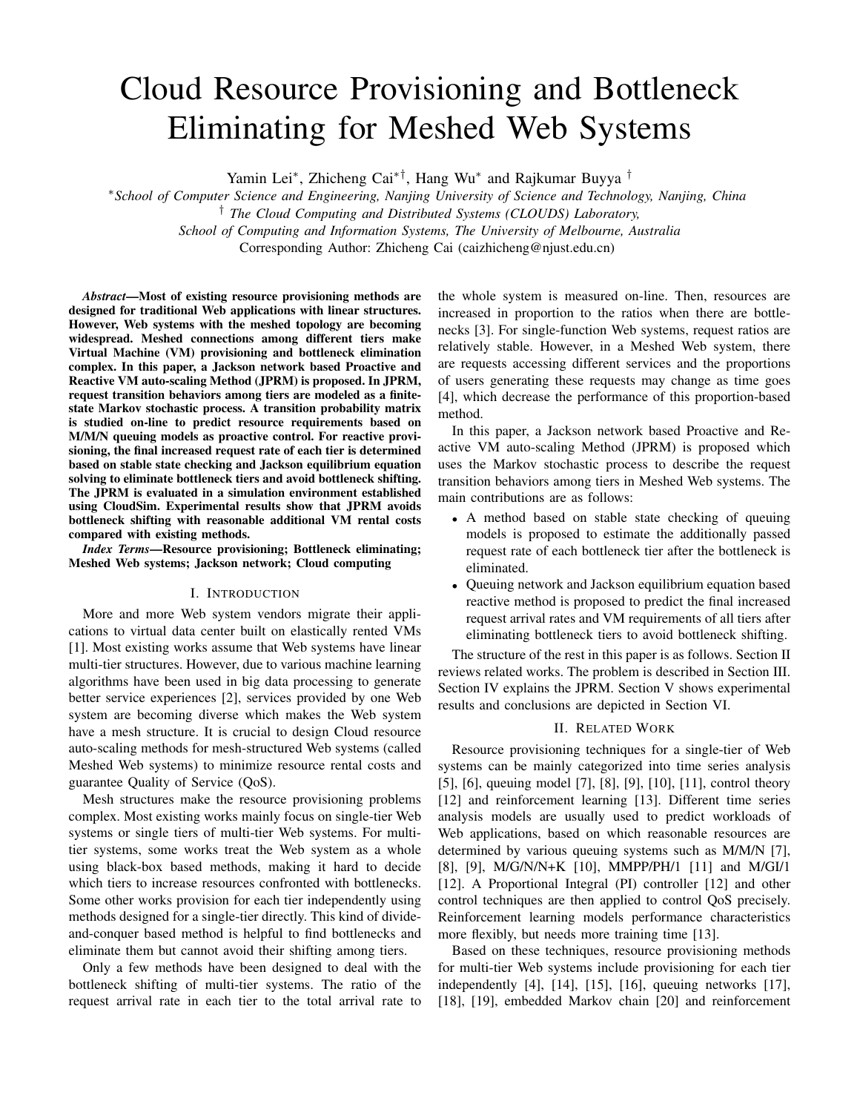# Cloud Resource Provisioning and Bottleneck Eliminating for Meshed Web Systems

Yamin Lei<sup>∗</sup>, Zhicheng Cai<sup>∗†</sup>, Hang Wu<sup>∗</sup> and Rajkumar Buyya<sup>†</sup>

<sup>∗</sup>*School of Computer Science and Engineering, Nanjing University of Science and Technology, Nanjing, China*

† *The Cloud Computing and Distributed Systems (CLOUDS) Laboratory,*

*School of Computing and Information Systems, The University of Melbourne, Australia*

Corresponding Author: Zhicheng Cai (caizhicheng@njust.edu.cn)

*Abstract*—Most of existing resource provisioning methods are designed for traditional Web applications with linear structures. However, Web systems with the meshed topology are becoming widespread. Meshed connections among different tiers make Virtual Machine (VM) provisioning and bottleneck elimination complex. In this paper, a Jackson network based Proactive and Reactive VM auto-scaling Method (JPRM) is proposed. In JPRM, request transition behaviors among tiers are modeled as a finitestate Markov stochastic process. A transition probability matrix is studied on-line to predict resource requirements based on M/M/N queuing models as proactive control. For reactive provisioning, the final increased request rate of each tier is determined based on stable state checking and Jackson equilibrium equation solving to eliminate bottleneck tiers and avoid bottleneck shifting. The JPRM is evaluated in a simulation environment established using CloudSim. Experimental results show that JPRM avoids bottleneck shifting with reasonable additional VM rental costs compared with existing methods.

*Index Terms*—Resource provisioning; Bottleneck eliminating; Meshed Web systems; Jackson network; Cloud computing

#### I. INTRODUCTION

More and more Web system vendors migrate their applications to virtual data center built on elastically rented VMs [1]. Most existing works assume that Web systems have linear multi-tier structures. However, due to various machine learning algorithms have been used in big data processing to generate better service experiences [2], services provided by one Web system are becoming diverse which makes the Web system have a mesh structure. It is crucial to design Cloud resource auto-scaling methods for mesh-structured Web systems (called Meshed Web systems) to minimize resource rental costs and guarantee Quality of Service (QoS).

Mesh structures make the resource provisioning problems complex. Most existing works mainly focus on single-tier Web systems or single tiers of multi-tier Web systems. For multitier systems, some works treat the Web system as a whole using black-box based methods, making it hard to decide which tiers to increase resources confronted with bottlenecks. Some other works provision for each tier independently using methods designed for a single-tier directly. This kind of divideand-conquer based method is helpful to find bottlenecks and eliminate them but cannot avoid their shifting among tiers.

Only a few methods have been designed to deal with the bottleneck shifting of multi-tier systems. The ratio of the request arrival rate in each tier to the total arrival rate to the whole system is measured on-line. Then, resources are increased in proportion to the ratios when there are bottlenecks [3]. For single-function Web systems, request ratios are relatively stable. However, in a Meshed Web system, there are requests accessing different services and the proportions of users generating these requests may change as time goes [4], which decrease the performance of this proportion-based method.

In this paper, a Jackson network based Proactive and Reactive VM auto-scaling Method (JPRM) is proposed which uses the Markov stochastic process to describe the request transition behaviors among tiers in Meshed Web systems. The main contributions are as follows:

- A method based on stable state checking of queuing models is proposed to estimate the additionally passed request rate of each bottleneck tier after the bottleneck is eliminated.
- Queuing network and Jackson equilibrium equation based reactive method is proposed to predict the final increased request arrival rates and VM requirements of all tiers after eliminating bottleneck tiers to avoid bottleneck shifting.

The structure of the rest in this paper is as follows. Section II reviews related works. The problem is described in Section III. Section IV explains the JPRM. Section V shows experimental results and conclusions are depicted in Section VI.

#### II. RELATED WORK

Resource provisioning techniques for a single-tier of Web systems can be mainly categorized into time series analysis [5], [6], queuing model [7], [8], [9], [10], [11], control theory [12] and reinforcement learning [13]. Different time series analysis models are usually used to predict workloads of Web applications, based on which reasonable resources are determined by various queuing systems such as M/M/N [7], [8], [9], M/G/N/N+K [10], MMPP/PH/1 [11] and M/GI/1 [12]. A Proportional Integral (PI) controller [12] and other control techniques are then applied to control QoS precisely. Reinforcement learning models performance characteristics more flexibly, but needs more training time [13].

Based on these techniques, resource provisioning methods for multi-tier Web systems include provisioning for each tier independently [4], [14], [15], [16], queuing networks [17], [18], [19], embedded Markov chain [20] and reinforcement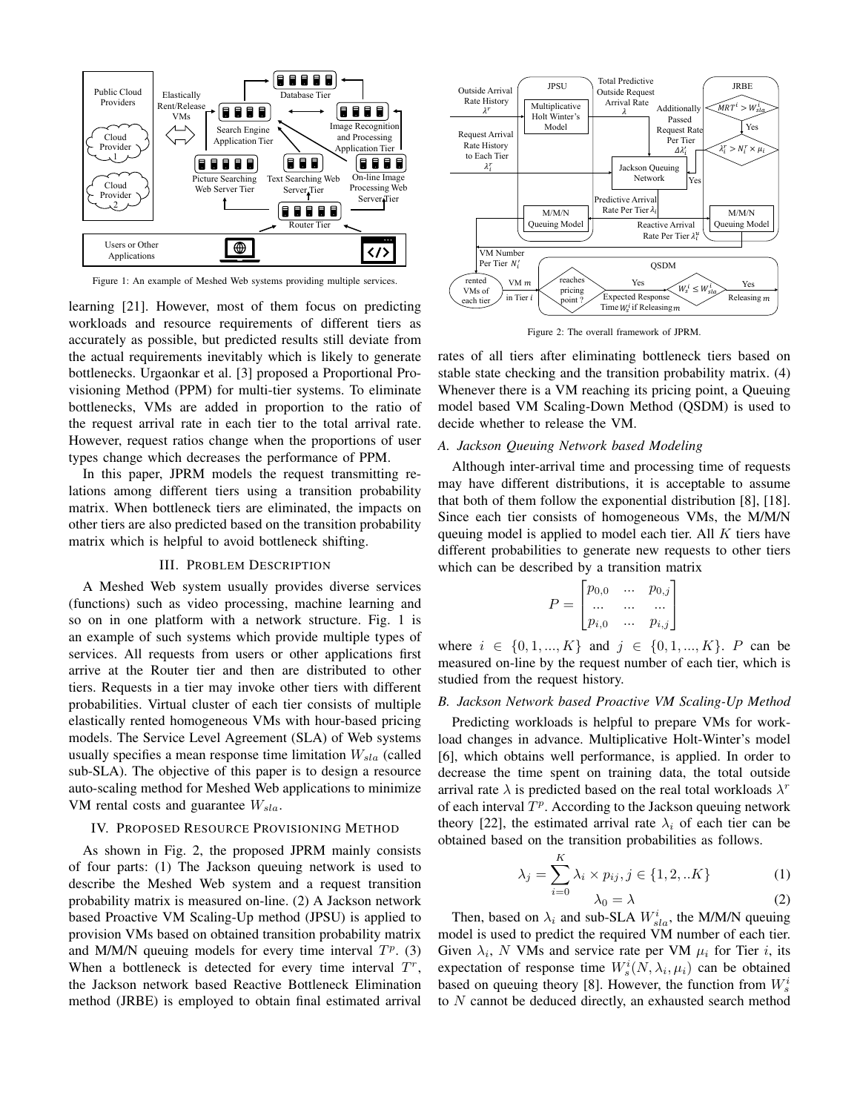

Figure 1: An example of Meshed Web systems providing multiple services.

learning [21]. However, most of them focus on predicting workloads and resource requirements of different tiers as accurately as possible, but predicted results still deviate from the actual requirements inevitably which is likely to generate bottlenecks. Urgaonkar et al. [3] proposed a Proportional Provisioning Method (PPM) for multi-tier systems. To eliminate bottlenecks, VMs are added in proportion to the ratio of the request arrival rate in each tier to the total arrival rate. However, request ratios change when the proportions of user types change which decreases the performance of PPM.

In this paper, JPRM models the request transmitting relations among different tiers using a transition probability matrix. When bottleneck tiers are eliminated, the impacts on other tiers are also predicted based on the transition probability matrix which is helpful to avoid bottleneck shifting.

#### III. PROBLEM DESCRIPTION

A Meshed Web system usually provides diverse services (functions) such as video processing, machine learning and so on in one platform with a network structure. Fig. 1 is an example of such systems which provide multiple types of services. All requests from users or other applications first arrive at the Router tier and then are distributed to other tiers. Requests in a tier may invoke other tiers with different probabilities. Virtual cluster of each tier consists of multiple elastically rented homogeneous VMs with hour-based pricing models. The Service Level Agreement (SLA) of Web systems usually specifies a mean response time limitation  $W_{sla}$  (called sub-SLA). The objective of this paper is to design a resource auto-scaling method for Meshed Web applications to minimize VM rental costs and guarantee  $W_{sla}$ .

#### IV. PROPOSED RESOURCE PROVISIONING METHOD

As shown in Fig. 2, the proposed JPRM mainly consists of four parts: (1) The Jackson queuing network is used to describe the Meshed Web system and a request transition probability matrix is measured on-line. (2) A Jackson network based Proactive VM Scaling-Up method (JPSU) is applied to provision VMs based on obtained transition probability matrix and M/M/N queuing models for every time interval  $T^p$ . (3) When a bottleneck is detected for every time interval  $T<sup>r</sup>$ , the Jackson network based Reactive Bottleneck Elimination method (JRBE) is employed to obtain final estimated arrival



Figure 2: The overall framework of JPRM.

rates of all tiers after eliminating bottleneck tiers based on stable state checking and the transition probability matrix. (4) Whenever there is a VM reaching its pricing point, a Queuing model based VM Scaling-Down Method (QSDM) is used to decide whether to release the VM.

### *A. Jackson Queuing Network based Modeling*

Although inter-arrival time and processing time of requests may have different distributions, it is acceptable to assume that both of them follow the exponential distribution [8], [18]. Since each tier consists of homogeneous VMs, the M/M/N queuing model is applied to model each tier. All  $K$  tiers have different probabilities to generate new requests to other tiers which can be described by a transition matrix

$$
P = \begin{bmatrix} p_{0,0} & \dots & p_{0,j} \\ \dots & \dots & \dots \\ p_{i,0} & \dots & p_{i,j} \end{bmatrix}
$$

where  $i \in \{0, 1, ..., K\}$  and  $j \in \{0, 1, ..., K\}$ . P can be measured on-line by the request number of each tier, which is studied from the request history.

## *B. Jackson Network based Proactive VM Scaling-Up Method*

Predicting workloads is helpful to prepare VMs for workload changes in advance. Multiplicative Holt-Winter's model [6], which obtains well performance, is applied. In order to decrease the time spent on training data, the total outside arrival rate  $\lambda$  is predicted based on the real total workloads  $\lambda^r$ of each interval  $T^p$ . According to the Jackson queuing network theory [22], the estimated arrival rate  $\lambda_i$  of each tier can be obtained based on the transition probabilities as follows.

$$
\lambda_j = \sum_{i=0}^{K} \lambda_i \times p_{ij}, j \in \{1, 2, ...K\}
$$
 (1)

$$
\lambda_0 = \lambda \tag{2}
$$

Then, based on  $\lambda_i$  and sub-SLA  $W_{sla}^i$ , the M/M/N queuing model is used to predict the required VM number of each tier. Given  $\lambda_i$ , N VMs and service rate per VM  $\mu_i$  for Tier i, its expectation of response time  $W_s^i(N, \lambda_i, \mu_i)$  can be obtained based on queuing theory [8]. However, the function from  $W_s^i$ to N cannot be deduced directly, an exhausted search method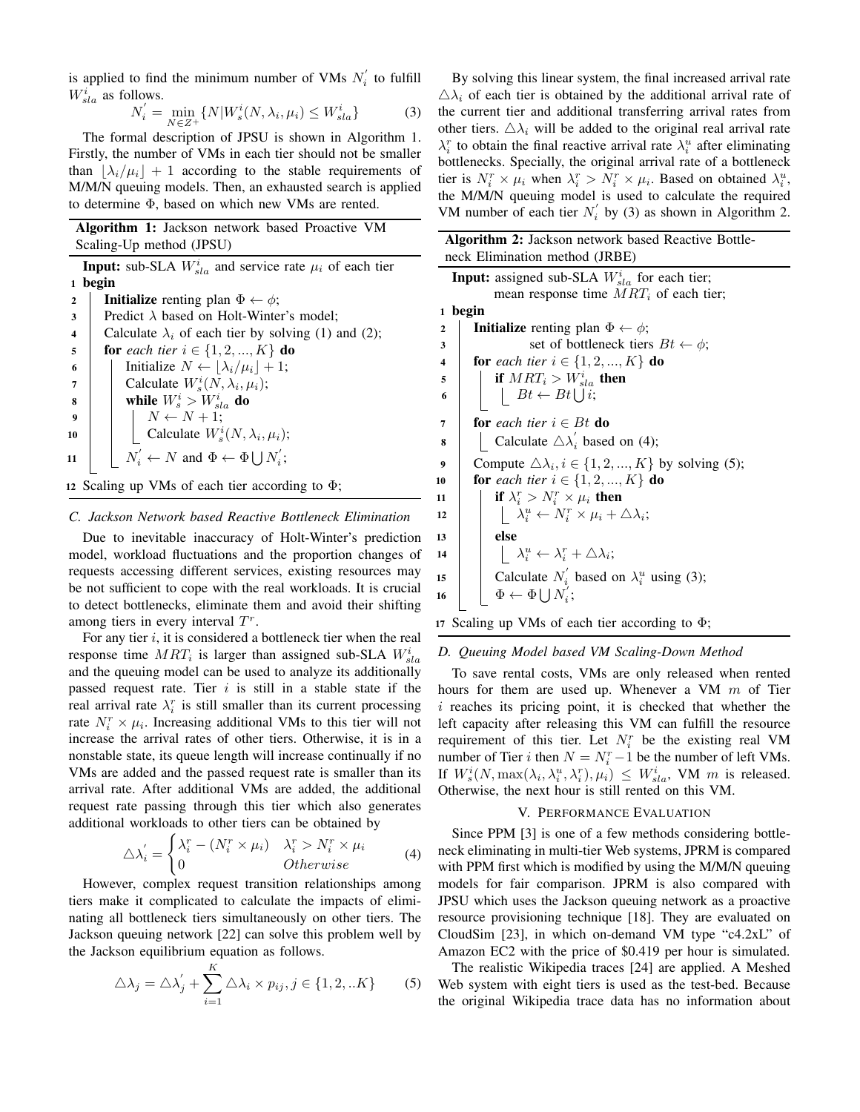is applied to find the minimum number of VMs  $N_i^{'}$  to fulfill  $W_{sla}^{i}$  as follows.

$$
N_i' = \min_{N \in \mathbb{Z}^+} \{ N | W_s^i(N, \lambda_i, \mu_i) \le W_{sla}^i \} \tag{3}
$$

The formal description of JPSU is shown in Algorithm 1. Firstly, the number of VMs in each tier should not be smaller than  $|\lambda_i/\mu_i| + 1$  according to the stable requirements of M/M/N queuing models. Then, an exhausted search is applied to determine Φ, based on which new VMs are rented.

|              | <b>Algorithm 1:</b> Jackson network based Proactive VM                    |  |  |  |  |  |  |
|--------------|---------------------------------------------------------------------------|--|--|--|--|--|--|
|              | Scaling-Up method (JPSU)                                                  |  |  |  |  |  |  |
|              | <b>Input:</b> sub-SLA $W_{sla}^{i}$ and service rate $\mu_i$ of each tier |  |  |  |  |  |  |
| 1            | begin                                                                     |  |  |  |  |  |  |
| $\mathbf{2}$ | <b>Initialize</b> renting plan $\Phi \leftarrow \phi$ ;                   |  |  |  |  |  |  |
| 3            | Predict $\lambda$ based on Holt-Winter's model;                           |  |  |  |  |  |  |
| 4            | Calculate $\lambda_i$ of each tier by solving (1) and (2);                |  |  |  |  |  |  |
| 5            | <b>for</b> each tier $i \in \{1, 2, , K\}$ <b>do</b>                      |  |  |  |  |  |  |
| 6            | Initialize $N \leftarrow  \lambda_i/\mu_i  + 1;$                          |  |  |  |  |  |  |
| 7            | Calculate $W_s^i(N, \lambda_i, \mu_i);$                                   |  |  |  |  |  |  |
| 8            | while $W_s^i > W_{s l a}^i$ do                                            |  |  |  |  |  |  |
| 9            | $N \leftarrow N + 1;$                                                     |  |  |  |  |  |  |
| 10           | Calculate $W_s^i(N, \lambda_i, \mu_i);$                                   |  |  |  |  |  |  |
| 11           | $N_i' \leftarrow N$ and $\Phi \leftarrow \Phi \bigcup N_i'$ ;             |  |  |  |  |  |  |
|              | 12 Scaling up VMs of each tier according to $\Phi$ ;                      |  |  |  |  |  |  |

#### *C. Jackson Network based Reactive Bottleneck Elimination*

Due to inevitable inaccuracy of Holt-Winter's prediction model, workload fluctuations and the proportion changes of requests accessing different services, existing resources may be not sufficient to cope with the real workloads. It is crucial to detect bottlenecks, eliminate them and avoid their shifting among tiers in every interval  $T<sup>r</sup>$ .

For any tier  $i$ , it is considered a bottleneck tier when the real response time  $MRT_i$  is larger than assigned sub-SLA  $W_{sla}^i$ and the queuing model can be used to analyze its additionally passed request rate. Tier  $i$  is still in a stable state if the real arrival rate  $\lambda_i^r$  is still smaller than its current processing rate  $N_i^r \times \mu_i$ . Increasing additional VMs to this tier will not increase the arrival rates of other tiers. Otherwise, it is in a nonstable state, its queue length will increase continually if no VMs are added and the passed request rate is smaller than its arrival rate. After additional VMs are added, the additional request rate passing through this tier which also generates additional workloads to other tiers can be obtained by

$$
\triangle \lambda_i' = \begin{cases} \lambda_i^r - (N_i^r \times \mu_i) & \lambda_i^r > N_i^r \times \mu_i \\ 0 & Otherwise \end{cases}
$$
 (4)

However, complex request transition relationships among tiers make it complicated to calculate the impacts of eliminating all bottleneck tiers simultaneously on other tiers. The Jackson queuing network [22] can solve this problem well by the Jackson equilibrium equation as follows.

$$
\triangle \lambda_j = \triangle \lambda'_j + \sum_{i=1}^K \triangle \lambda_i \times p_{ij}, j \in \{1, 2, ... K\}
$$
 (5)

By solving this linear system, the final increased arrival rate  $\Delta \lambda_i$  of each tier is obtained by the additional arrival rate of the current tier and additional transferring arrival rates from other tiers.  $\Delta \lambda_i$  will be added to the original real arrival rate  $\lambda_i^r$  to obtain the final reactive arrival rate  $\lambda_i^u$  after eliminating bottlenecks. Specially, the original arrival rate of a bottleneck tier is  $N_i^r \times \mu_i$  when  $\lambda_i^r > N_i^r \times \mu_i$ . Based on obtained  $\lambda_i^u$ , the M/M/N queuing model is used to calculate the required VM number of each tier  $N_i'$  by (3) as shown in Algorithm 2.

| Algorithm 2: Jackson network based Reactive Bottle-                       |
|---------------------------------------------------------------------------|
| neck Elimination method (JRBE)                                            |
| <b>Input:</b> assigned sub-SLA $W_{sla}^{i}$ for each tier;               |
| mean response time $MRT_i$ of each tier;                                  |
| begin<br>$\mathbf{1}$                                                     |
| <b>Initialize</b> renting plan $\Phi \leftarrow \phi$ ;<br>$\overline{2}$ |
| set of bottleneck tiers $Bt \leftarrow \phi$ ;<br>3                       |
| <b>for</b> each tier $i \in \{1, 2, , K\}$ <b>do</b><br>4                 |
| if $MRT_i > W_{sla}^i$ then<br>5                                          |
| $Bt \leftarrow Bt \bigcup i;$<br>6                                        |
| <b>for</b> each tier $i \in Bt$ <b>do</b><br>7                            |
| Calculate $\triangle \lambda'_i$ based on (4);<br>8                       |
| Compute $\Delta \lambda_i, i \in \{1, 2, , K\}$ by solving (5);<br>9      |
| <b>for</b> each tier $i \in \{1, 2, , K\}$ <b>do</b><br>10                |
| if $\lambda_i^r > N_i^r \times \mu_i$ then<br>11                          |
| $ \lambda_i^u \leftarrow N_i^r \times \mu_i + \Delta \lambda_i;$<br>12    |
| else<br>13                                                                |
| $ \lambda_i^u \leftarrow \lambda_i^r + \Delta \lambda_i;$<br>14           |
| Calculate $N'_i$ based on $\lambda_i^u$ using (3);<br>15                  |
| $\Phi \leftarrow \Phi \cup N_i$ ;<br>16                                   |
|                                                                           |

|  |  |  |  |  |  |  | 17 Scaling up VMs of each tier according to $\Phi$ ; |  |  |  |
|--|--|--|--|--|--|--|------------------------------------------------------|--|--|--|
|--|--|--|--|--|--|--|------------------------------------------------------|--|--|--|

#### *D. Queuing Model based VM Scaling-Down Method*

To save rental costs, VMs are only released when rented hours for them are used up. Whenever a VM  $m$  of Tier i reaches its pricing point, it is checked that whether the left capacity after releasing this VM can fulfill the resource requirement of this tier. Let  $N_i^r$  be the existing real VM number of Tier *i* then  $N = N_i^r - 1$  be the number of left VMs. If  $W_s^i(N, \max(\lambda_i, \lambda_i^u, \lambda_i^r), \mu_i) \leq W_{sla}^i$ , VM m is released. Otherwise, the next hour is still rented on this VM.

#### V. PERFORMANCE EVALUATION

Since PPM [3] is one of a few methods considering bottleneck eliminating in multi-tier Web systems, JPRM is compared with PPM first which is modified by using the M/M/N queuing models for fair comparison. JPRM is also compared with JPSU which uses the Jackson queuing network as a proactive resource provisioning technique [18]. They are evaluated on CloudSim [23], in which on-demand VM type "c4.2xL" of Amazon EC2 with the price of \$0.419 per hour is simulated.

The realistic Wikipedia traces [24] are applied. A Meshed Web system with eight tiers is used as the test-bed. Because the original Wikipedia trace data has no information about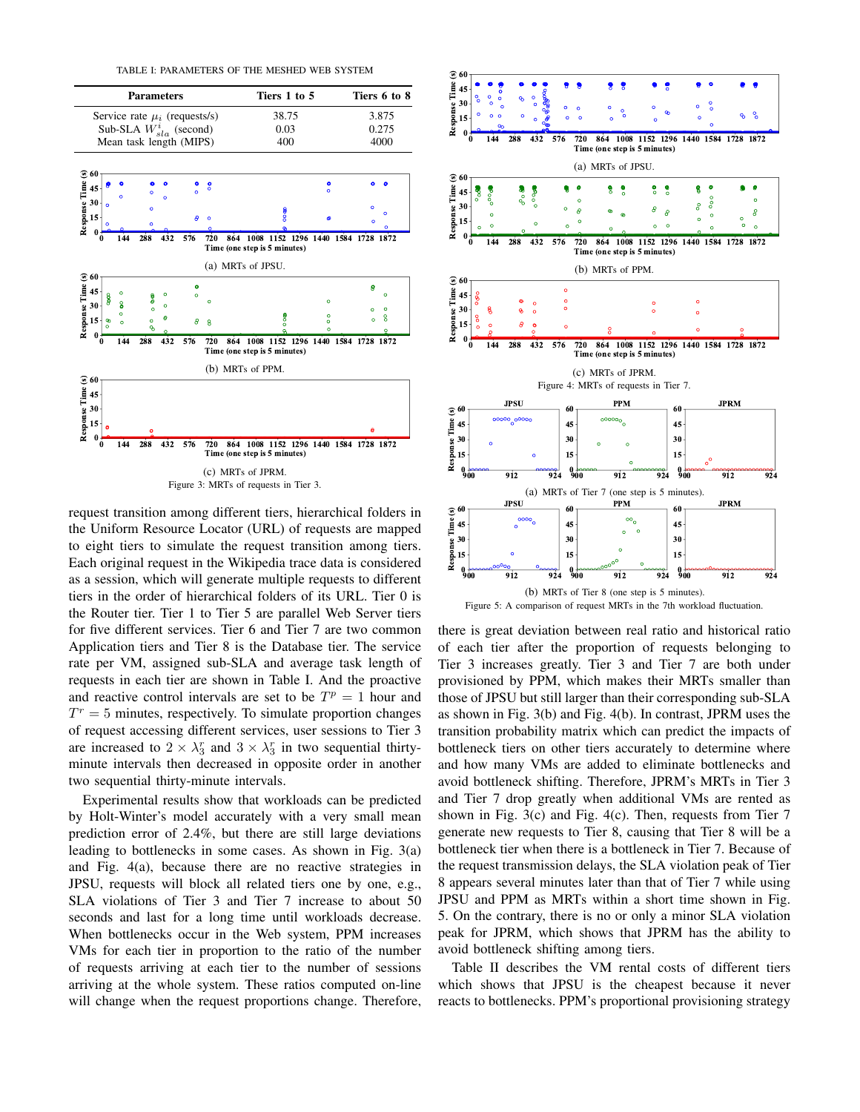TABLE I: PARAMETERS OF THE MESHED WEB SYSTEM



request transition among different tiers, hierarchical folders in the Uniform Resource Locator (URL) of requests are mapped to eight tiers to simulate the request transition among tiers. Each original request in the Wikipedia trace data is considered as a session, which will generate multiple requests to different tiers in the order of hierarchical folders of its URL. Tier 0 is the Router tier. Tier 1 to Tier 5 are parallel Web Server tiers for five different services. Tier 6 and Tier 7 are two common Application tiers and Tier 8 is the Database tier. The service rate per VM, assigned sub-SLA and average task length of requests in each tier are shown in Table I. And the proactive and reactive control intervals are set to be  $T^p = 1$  hour and  $T<sup>r</sup> = 5$  minutes, respectively. To simulate proportion changes of request accessing different services, user sessions to Tier 3 are increased to  $2 \times \lambda_3^r$  and  $3 \times \lambda_3^r$  in two sequential thirtyminute intervals then decreased in opposite order in another two sequential thirty-minute intervals.

Experimental results show that workloads can be predicted by Holt-Winter's model accurately with a very small mean prediction error of 2.4%, but there are still large deviations leading to bottlenecks in some cases. As shown in Fig. 3(a) and Fig. 4(a), because there are no reactive strategies in JPSU, requests will block all related tiers one by one, e.g., SLA violations of Tier 3 and Tier 7 increase to about 50 seconds and last for a long time until workloads decrease. When bottlenecks occur in the Web system, PPM increases VMs for each tier in proportion to the ratio of the number of requests arriving at each tier to the number of sessions arriving at the whole system. These ratios computed on-line will change when the request proportions change. Therefore,



Figure 5: A comparison of request MRTs in the 7th workload fluctuation.

there is great deviation between real ratio and historical ratio of each tier after the proportion of requests belonging to Tier 3 increases greatly. Tier 3 and Tier 7 are both under provisioned by PPM, which makes their MRTs smaller than those of JPSU but still larger than their corresponding sub-SLA as shown in Fig. 3(b) and Fig. 4(b). In contrast, JPRM uses the transition probability matrix which can predict the impacts of bottleneck tiers on other tiers accurately to determine where and how many VMs are added to eliminate bottlenecks and avoid bottleneck shifting. Therefore, JPRM's MRTs in Tier 3 and Tier 7 drop greatly when additional VMs are rented as shown in Fig. 3(c) and Fig. 4(c). Then, requests from Tier 7 generate new requests to Tier 8, causing that Tier 8 will be a bottleneck tier when there is a bottleneck in Tier 7. Because of the request transmission delays, the SLA violation peak of Tier 8 appears several minutes later than that of Tier 7 while using JPSU and PPM as MRTs within a short time shown in Fig. 5. On the contrary, there is no or only a minor SLA violation peak for JPRM, which shows that JPRM has the ability to avoid bottleneck shifting among tiers.

Table II describes the VM rental costs of different tiers which shows that JPSU is the cheapest because it never reacts to bottlenecks. PPM's proportional provisioning strategy